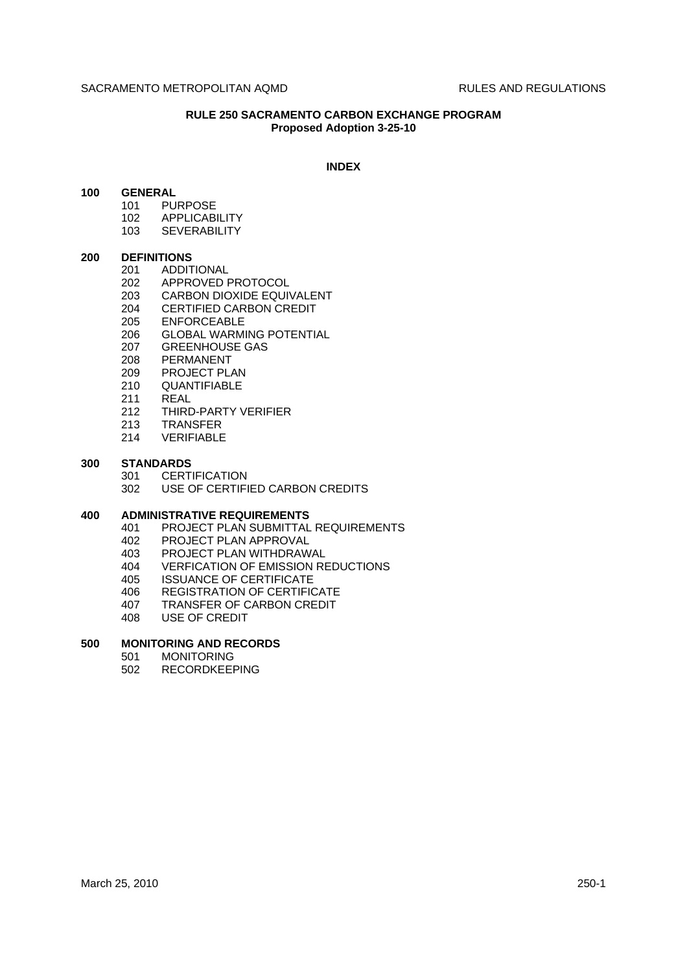# **RULE 250 SACRAMENTO CARBON EXCHANGE PROGRAM Proposed Adoption 3-25-10**

#### **INDEX**

## **100 GENERAL**

- 101 PURPOSE
	- 102 APPLICABILITY
	- 103 SEVERABILITY

#### **200 DEFINITIONS**

- 201 ADDITIONAL<br>202 APPROVED F
- 202 APPROVED PROTOCOL
- 203 CARBON DIOXIDE EQUIVALENT
- 204 CERTIFIED CARBON CREDIT<br>205 ENFORCEABLE
- **ENFORCEABLE**
- 206 GLOBAL WARMING POTENTIAL
- 207 GREENHOUSE GAS<br>208 PERMANENT
- 208 PERMANENT<br>209 PROJECT PL/
- PROJECT PLAN
- 210 QUANTIFIABLE
- 211 REAL
- 212 THIRD-PARTY VERIFIER
- 213 TRANSFER
- 214 VERIFIABLE

## **300 STANDARDS**

- 301 CERTIFICATION
- 302 USE OF CERTIFIED CARBON CREDITS

### **400 ADMINISTRATIVE REQUIREMENTS**

- 401 PROJECT PLAN SUBMITTAL REQUIREMENTS
- 402 PROJECT PLAN APPROVAL
- 403 PROJECT PLAN WITHDRAWAL
- 404 VERFICATION OF EMISSION REDUCTIONS
- 405 ISSUANCE OF CERTIFICATE
- 406 REGISTRATION OF CERTIFICATE
- 407 TRANSFER OF CARBON CREDIT<br>408 USE OF CREDIT
- USE OF CREDIT

## **500 MONITORING AND RECORDS**

- 501 MONITORING
- 502 RECORDKEEPING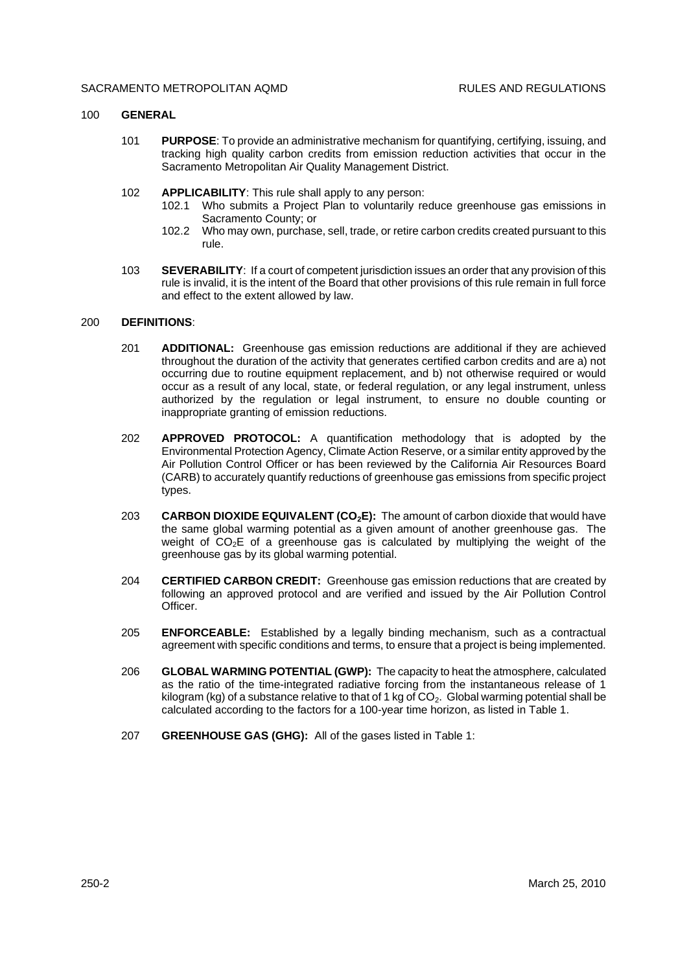### 100 **GENERAL**

- 101 **PURPOSE**: To provide an administrative mechanism for quantifying, certifying, issuing, and tracking high quality carbon credits from emission reduction activities that occur in the Sacramento Metropolitan Air Quality Management District.
- 102 **APPLICABILITY**: This rule shall apply to any person:
	- 102.1 Who submits a Project Plan to voluntarily reduce greenhouse gas emissions in Sacramento County; or
	- 102.2 Who may own, purchase, sell, trade, or retire carbon credits created pursuant to this rule.
- 103 **SEVERABILITY**: If a court of competent jurisdiction issues an order that any provision of this rule is invalid, it is the intent of the Board that other provisions of this rule remain in full force and effect to the extent allowed by law.

# 200 **DEFINITIONS**:

- 201 **ADDITIONAL:** Greenhouse gas emission reductions are additional if they are achieved throughout the duration of the activity that generates certified carbon credits and are a) not occurring due to routine equipment replacement, and b) not otherwise required or would occur as a result of any local, state, or federal regulation, or any legal instrument, unless authorized by the regulation or legal instrument, to ensure no double counting or inappropriate granting of emission reductions.
- 202 **APPROVED PROTOCOL:** A quantification methodology that is adopted by the Environmental Protection Agency, Climate Action Reserve, or a similar entity approved by the Air Pollution Control Officer or has been reviewed by the California Air Resources Board (CARB) to accurately quantify reductions of greenhouse gas emissions from specific project types.
- 203 **CARBON DIOXIDE EQUIVALENT (CO2E):** The amount of carbon dioxide that would have the same global warming potential as a given amount of another greenhouse gas. The weight of  $CO<sub>2</sub>E$  of a greenhouse gas is calculated by multiplying the weight of the greenhouse gas by its global warming potential.
- 204 **CERTIFIED CARBON CREDIT:** Greenhouse gas emission reductions that are created by following an approved protocol and are verified and issued by the Air Pollution Control Officer.
- 205 **ENFORCEABLE:** Established by a legally binding mechanism, such as a contractual agreement with specific conditions and terms, to ensure that a project is being implemented.
- 206 **GLOBAL WARMING POTENTIAL (GWP):** The capacity to heat the atmosphere, calculated as the ratio of the time-integrated radiative forcing from the instantaneous release of 1 kilogram (kg) of a substance relative to that of 1 kg of  $CO<sub>2</sub>$ . Global warming potential shall be calculated according to the factors for a 100-year time horizon, as listed in Table 1.
- 207 **GREENHOUSE GAS (GHG):** All of the gases listed in Table 1: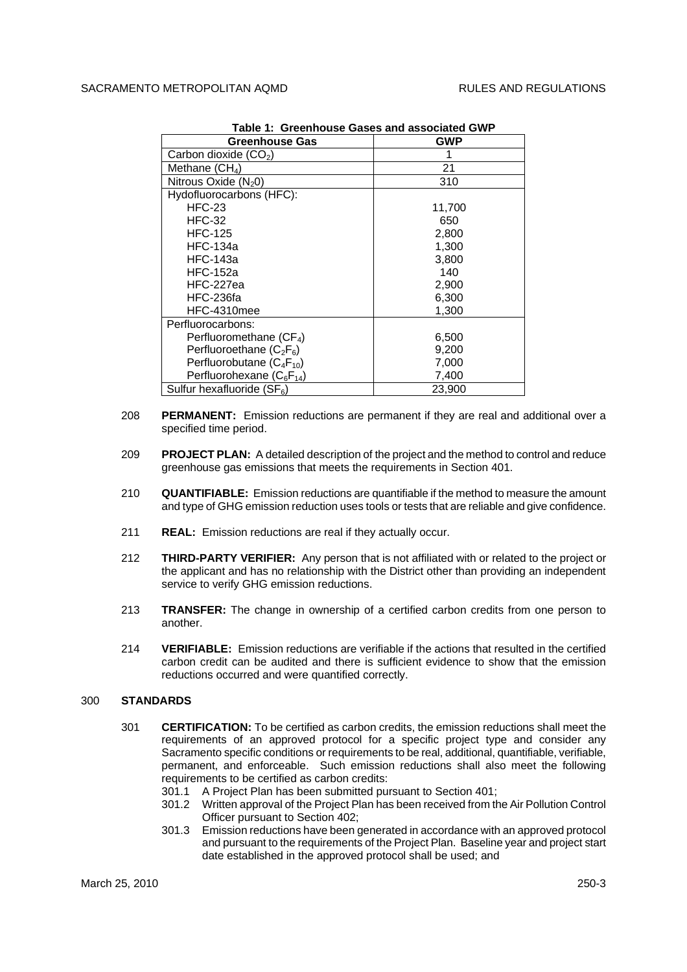| <b>Greenhouse Gas</b>         | orcennouse Ouses and associated Offi<br><b>GWP</b> |
|-------------------------------|----------------------------------------------------|
| Carbon dioxide $(CO2)$        |                                                    |
| Methane $(CH_4)$              | 21                                                 |
| Nitrous Oxide $(N_20)$        | 310                                                |
| Hydofluorocarbons (HFC):      |                                                    |
| $HEC-23$                      | 11,700                                             |
| <b>HFC-32</b>                 | 650                                                |
| <b>HFC-125</b>                | 2,800                                              |
| <b>HFC-134a</b>               | 1,300                                              |
| <b>HFC-143a</b>               | 3,800                                              |
| <b>HFC-152a</b>               | 140                                                |
| HFC-227ea                     | 2,900                                              |
| HFC-236fa                     | 6,300                                              |
| HFC-4310mee                   | 1,300                                              |
| Perfluorocarbons:             |                                                    |
| Perfluoromethane $(CF_4)$     | 6,500                                              |
| Perfluoroethane $(C_2F_6)$    | 9,200                                              |
| Perfluorobutane $(C_4F_{10})$ | 7,000                                              |
| Perfluorohexane $(C_6F_{14})$ | 7,400                                              |
| Sulfur hexafluoride $(SF_6)$  | 23,900                                             |

**Table 1: Greenhouse Gases and associated GWP**

- 208 **PERMANENT:** Emission reductions are permanent if they are real and additional over a specified time period.
- 209 **PROJECT PLAN:** A detailed description of the project and the method to control and reduce greenhouse gas emissions that meets the requirements in Section 401.
- 210 **QUANTIFIABLE:** Emission reductions are quantifiable if the method to measure the amount and type of GHG emission reduction uses tools or tests that are reliable and give confidence.
- 211 **REAL:** Emission reductions are real if they actually occur.
- 212 **THIRD-PARTY VERIFIER:** Any person that is not affiliated with or related to the project or the applicant and has no relationship with the District other than providing an independent service to verify GHG emission reductions.
- 213 **TRANSFER:** The change in ownership of a certified carbon credits from one person to another.
- 214 **VERIFIABLE:** Emission reductions are verifiable if the actions that resulted in the certified carbon credit can be audited and there is sufficient evidence to show that the emission reductions occurred and were quantified correctly.

# 300 **STANDARDS**

- 301 **CERTIFICATION:** To be certified as carbon credits, the emission reductions shall meet the requirements of an approved protocol for a specific project type and consider any Sacramento specific conditions or requirements to be real, additional, quantifiable, verifiable, permanent, and enforceable. Such emission reductions shall also meet the following requirements to be certified as carbon credits:
	- 301.1 A Project Plan has been submitted pursuant to Section 401;
	- 301.2 Written approval of the Project Plan has been received from the Air Pollution Control Officer pursuant to Section 402;
	- 301.3 Emission reductions have been generated in accordance with an approved protocol and pursuant to the requirements of the Project Plan. Baseline year and project start date established in the approved protocol shall be used; and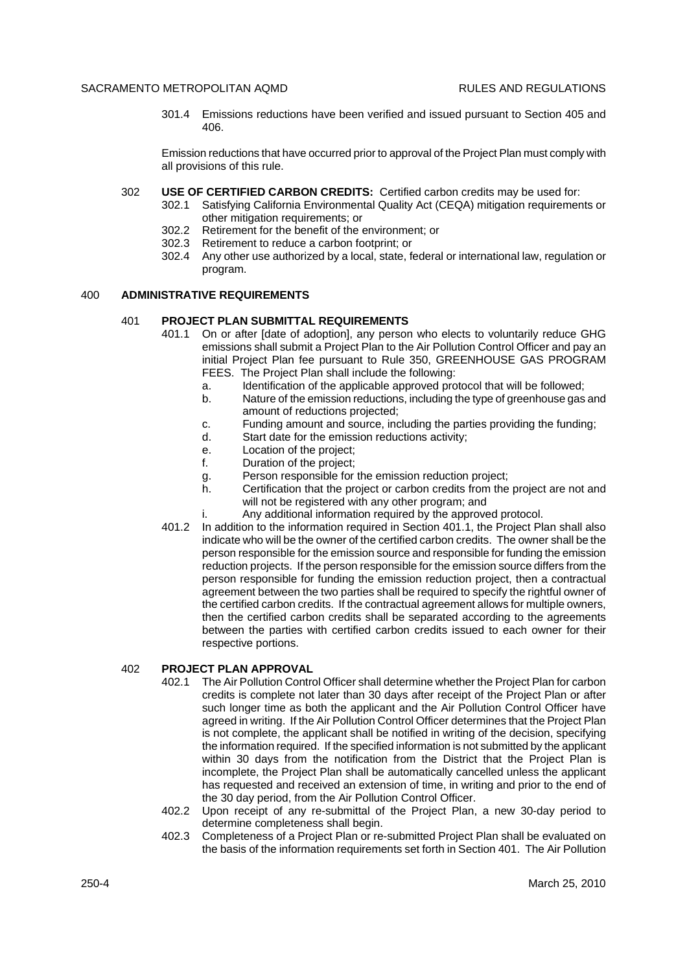301.4 Emissions reductions have been verified and issued pursuant to Section 405 and 406.

Emission reductions that have occurred prior to approval of the Project Plan must comply with all provisions of this rule.

- 302 **USE OF CERTIFIED CARBON CREDITS:** Certified carbon credits may be used for:
	- 302.1 Satisfying California Environmental Quality Act (CEQA) mitigation requirements or other mitigation requirements; or
	- 302.2 Retirement for the benefit of the environment; or
	- 302.3 Retirement to reduce a carbon footprint; or
	- 302.4 Any other use authorized by a local, state, federal or international law, regulation or program.

#### 400 **ADMINISTRATIVE REQUIREMENTS**

# 401 **PROJECT PLAN SUBMITTAL REQUIREMENTS**

- 401.1 On or after [date of adoption], any person who elects to voluntarily reduce GHG emissions shall submit a Project Plan to the Air Pollution Control Officer and pay an initial Project Plan fee pursuant to Rule 350, GREENHOUSE GAS PROGRAM FEES. The Project Plan shall include the following:
	- a. Identification of the applicable approved protocol that will be followed;
	- b. Nature of the emission reductions, including the type of greenhouse gas and amount of reductions projected;
	- c. Funding amount and source, including the parties providing the funding;
	- d. Start date for the emission reductions activity;
	- e. Location of the project;
	- f. Duration of the project;
	- g. Person responsible for the emission reduction project;
	- h. Certification that the project or carbon credits from the project are not and will not be registered with any other program; and
	- i. Any additional information required by the approved protocol.
- 401.2 In addition to the information required in Section 401.1, the Project Plan shall also indicate who will be the owner of the certified carbon credits. The owner shall be the person responsible for the emission source and responsible for funding the emission reduction projects. If the person responsible for the emission source differs from the person responsible for funding the emission reduction project, then a contractual agreement between the two parties shall be required to specify the rightful owner of the certified carbon credits. If the contractual agreement allows for multiple owners, then the certified carbon credits shall be separated according to the agreements between the parties with certified carbon credits issued to each owner for their respective portions.

#### 402 **PROJECT PLAN APPROVAL**

- 402.1 The Air Pollution Control Officer shall determine whether the Project Plan for carbon credits is complete not later than 30 days after receipt of the Project Plan or after such longer time as both the applicant and the Air Pollution Control Officer have agreed in writing. If the Air Pollution Control Officer determines that the Project Plan is not complete, the applicant shall be notified in writing of the decision, specifying the information required. If the specified information is not submitted by the applicant within 30 days from the notification from the District that the Project Plan is incomplete, the Project Plan shall be automatically cancelled unless the applicant has requested and received an extension of time, in writing and prior to the end of the 30 day period, from the Air Pollution Control Officer.
- 402.2 Upon receipt of any re-submittal of the Project Plan, a new 30-day period to determine completeness shall begin.
- 402.3 Completeness of a Project Plan or re-submitted Project Plan shall be evaluated on the basis of the information requirements set forth in Section 401. The Air Pollution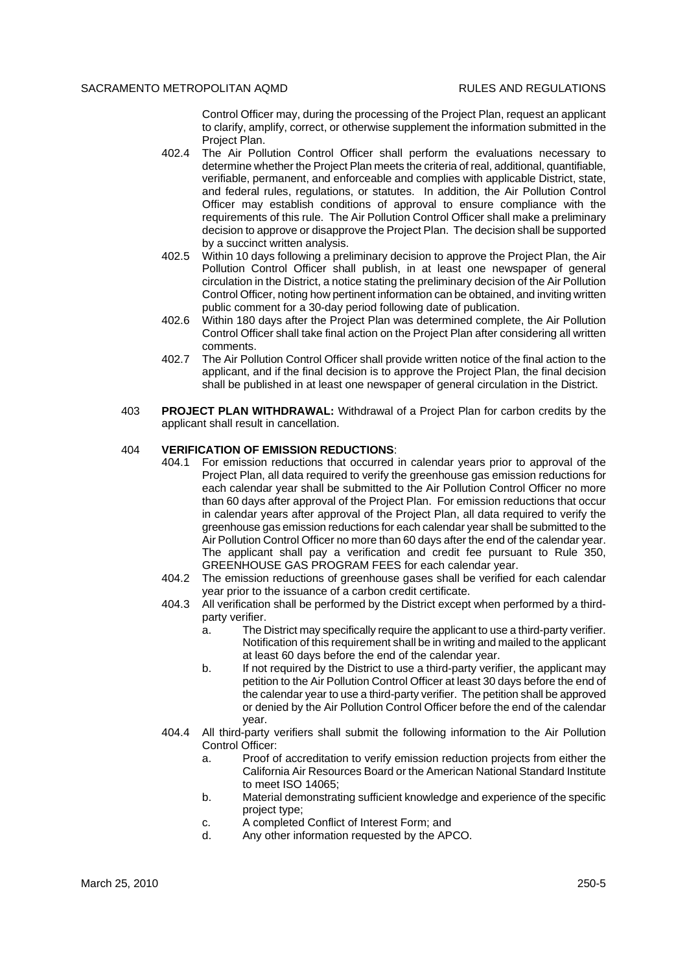Control Officer may, during the processing of the Project Plan, request an applicant to clarify, amplify, correct, or otherwise supplement the information submitted in the Project Plan.

- 402.4 The Air Pollution Control Officer shall perform the evaluations necessary to determine whether the Project Plan meets the criteria of real, additional, quantifiable, verifiable, permanent, and enforceable and complies with applicable District, state, and federal rules, regulations, or statutes. In addition, the Air Pollution Control Officer may establish conditions of approval to ensure compliance with the requirements of this rule. The Air Pollution Control Officer shall make a preliminary decision to approve or disapprove the Project Plan. The decision shall be supported by a succinct written analysis.
- 402.5 Within 10 days following a preliminary decision to approve the Project Plan, the Air Pollution Control Officer shall publish, in at least one newspaper of general circulation in the District, a notice stating the preliminary decision of the Air Pollution Control Officer, noting how pertinent information can be obtained, and inviting written public comment for a 30-day period following date of publication.
- 402.6 Within 180 days after the Project Plan was determined complete, the Air Pollution Control Officer shall take final action on the Project Plan after considering all written comments.
- 402.7 The Air Pollution Control Officer shall provide written notice of the final action to the applicant, and if the final decision is to approve the Project Plan, the final decision shall be published in at least one newspaper of general circulation in the District.
- 403 **PROJECT PLAN WITHDRAWAL:** Withdrawal of a Project Plan for carbon credits by the applicant shall result in cancellation.

## 404 **VERIFICATION OF EMISSION REDUCTIONS**:

- 404.1 For emission reductions that occurred in calendar years prior to approval of the Project Plan, all data required to verify the greenhouse gas emission reductions for each calendar year shall be submitted to the Air Pollution Control Officer no more than 60 days after approval of the Project Plan. For emission reductions that occur in calendar years after approval of the Project Plan, all data required to verify the greenhouse gas emission reductions for each calendar year shall be submitted to the Air Pollution Control Officer no more than 60 days after the end of the calendar year. The applicant shall pay a verification and credit fee pursuant to Rule 350, GREENHOUSE GAS PROGRAM FEES for each calendar year.
- 404.2 The emission reductions of greenhouse gases shall be verified for each calendar year prior to the issuance of a carbon credit certificate.
- 404.3 All verification shall be performed by the District except when performed by a thirdparty verifier.
	- a. The District may specifically require the applicant to use a third-party verifier. Notification of this requirement shall be in writing and mailed to the applicant at least 60 days before the end of the calendar year.
	- b. If not required by the District to use a third-party verifier, the applicant may petition to the Air Pollution Control Officer at least 30 days before the end of the calendar year to use a third-party verifier. The petition shall be approved or denied by the Air Pollution Control Officer before the end of the calendar year.
- 404.4 All third-party verifiers shall submit the following information to the Air Pollution Control Officer:
	- a. Proof of accreditation to verify emission reduction projects from either the California Air Resources Board or the American National Standard Institute to meet ISO 14065;
	- b. Material demonstrating sufficient knowledge and experience of the specific project type;
	- c. A completed Conflict of Interest Form; and
	- d. Any other information requested by the APCO.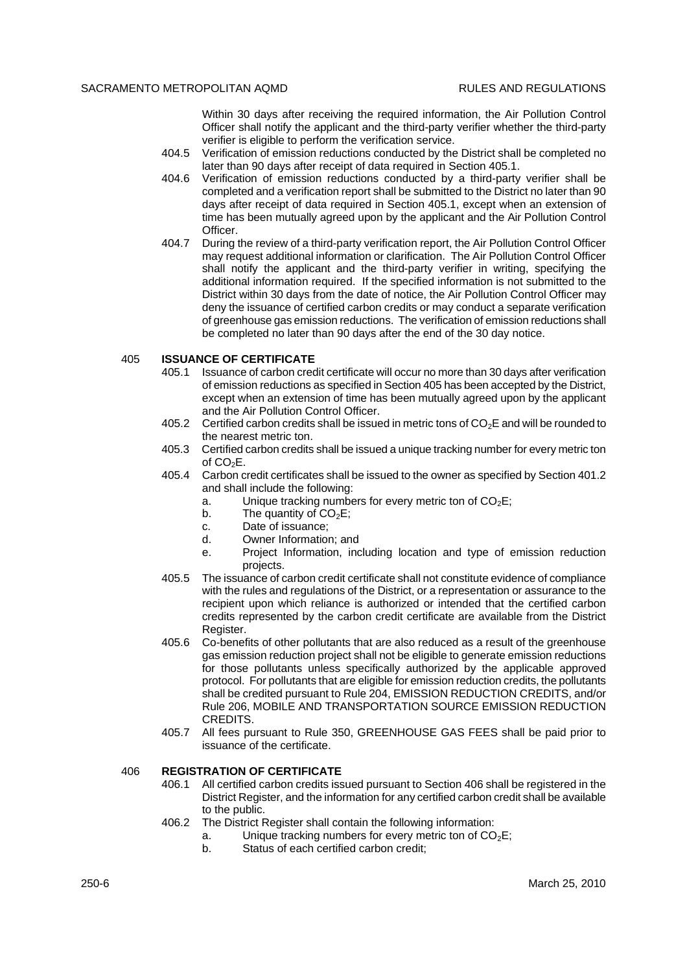Within 30 days after receiving the required information, the Air Pollution Control Officer shall notify the applicant and the third-party verifier whether the third-party verifier is eligible to perform the verification service.

- 404.5 Verification of emission reductions conducted by the District shall be completed no later than 90 days after receipt of data required in Section 405.1.
- 404.6 Verification of emission reductions conducted by a third-party verifier shall be completed and a verification report shall be submitted to the District no later than 90 days after receipt of data required in Section 405.1, except when an extension of time has been mutually agreed upon by the applicant and the Air Pollution Control Officer.
- 404.7 During the review of a third-party verification report, the Air Pollution Control Officer may request additional information or clarification. The Air Pollution Control Officer shall notify the applicant and the third-party verifier in writing, specifying the additional information required. If the specified information is not submitted to the District within 30 days from the date of notice, the Air Pollution Control Officer may deny the issuance of certified carbon credits or may conduct a separate verification of greenhouse gas emission reductions. The verification of emission reductions shall be completed no later than 90 days after the end of the 30 day notice.

# 405 **ISSUANCE OF CERTIFICATE**

- 405.1 Issuance of carbon credit certificate will occur no more than 30 days after verification of emission reductions as specified in Section 405 has been accepted by the District, except when an extension of time has been mutually agreed upon by the applicant and the Air Pollution Control Officer.
- 405.2 Certified carbon credits shall be issued in metric tons of  $CO<sub>2</sub>E$  and will be rounded to the nearest metric ton.
- 405.3 Certified carbon credits shall be issued a unique tracking number for every metric ton of  $CO<sub>2</sub>E$ .
- 405.4 Carbon credit certificates shall be issued to the owner as specified by Section 401.2 and shall include the following:
	- a. Unique tracking numbers for every metric ton of  $CO<sub>2</sub>E$ ;
	- b. The quantity of  $CO<sub>2</sub>E$ ;
	- c. Date of issuance;
	- d. Owner Information; and
	- e. Project Information, including location and type of emission reduction projects.
- 405.5 The issuance of carbon credit certificate shall not constitute evidence of compliance with the rules and regulations of the District, or a representation or assurance to the recipient upon which reliance is authorized or intended that the certified carbon credits represented by the carbon credit certificate are available from the District Register.
- 405.6 Co-benefits of other pollutants that are also reduced as a result of the greenhouse gas emission reduction project shall not be eligible to generate emission reductions for those pollutants unless specifically authorized by the applicable approved protocol. For pollutants that are eligible for emission reduction credits, the pollutants shall be credited pursuant to Rule 204, EMISSION REDUCTION CREDITS, and/or Rule 206, MOBILE AND TRANSPORTATION SOURCE EMISSION REDUCTION CREDITS.
- 405.7 All fees pursuant to Rule 350, GREENHOUSE GAS FEES shall be paid prior to issuance of the certificate.

#### 406 **REGISTRATION OF CERTIFICATE**

- 406.1 All certified carbon credits issued pursuant to Section 406 shall be registered in the District Register, and the information for any certified carbon credit shall be available to the public.
- 406.2 The District Register shall contain the following information:
	- a. Unique tracking numbers for every metric ton of  $CO<sub>2</sub>E$ ;
	- b. Status of each certified carbon credit;